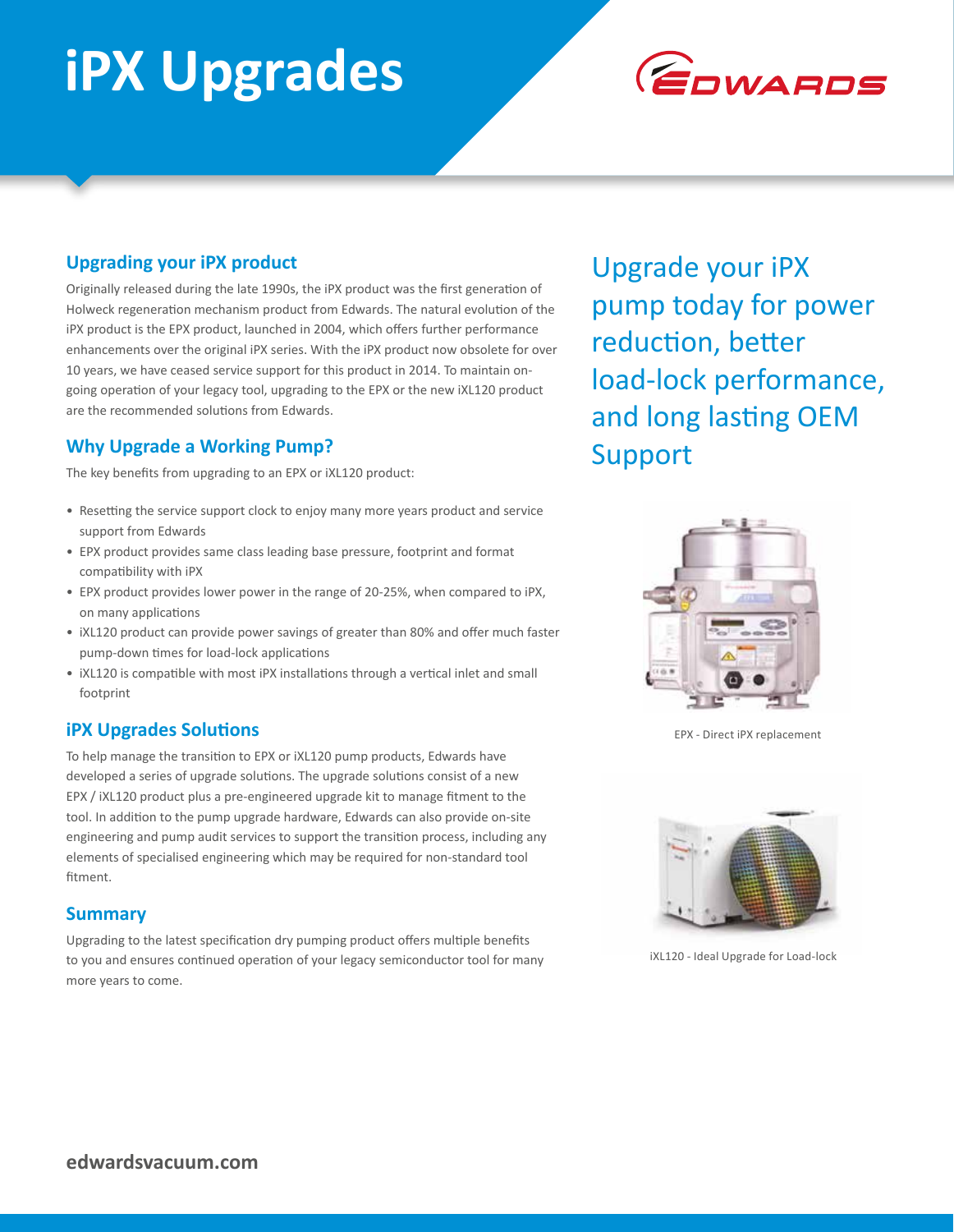# **iPX Upgrades**



### **Upgrading your iPX product**

Originally released during the late 1990s, the iPX product was the first generation of Holweck regeneration mechanism product from Edwards. The natural evolution of the iPX product is the EPX product, launched in 2004, which offers further performance enhancements over the original iPX series. With the iPX product now obsolete for over 10 years, we have ceased service support for this product in 2014. To maintain ongoing operation of your legacy tool, upgrading to the EPX or the new iXL120 product are the recommended solutions from Edwards.

## **Why Upgrade a Working Pump?**

The key benefits from upgrading to an EPX or iXL120 product:

- Resetting the service support clock to enjoy many more years product and service support from Edwards
- EPX product provides same class leading base pressure, footprint and format compatibility with iPX
- EPX product provides lower power in the range of 20-25%, when compared to iPX, on many applications
- iXL120 product can provide power savings of greater than 80% and offer much faster pump-down times for load-lock applications
- iXL120 is compatible with most iPX installations through a vertical inlet and small footprint

### **iPX Upgrades Solutions**

To help manage the transition to EPX or iXL120 pump products, Edwards have developed a series of upgrade solutions. The upgrade solutions consist of a new EPX / iXL120 product plus a pre-engineered upgrade kit to manage fitment to the tool. In addition to the pump upgrade hardware, Edwards can also provide on-site engineering and pump audit services to support the transition process, including any elements of specialised engineering which may be required for non-standard tool fitment.

#### **Summary**

Upgrading to the latest specification dry pumping product offers multiple benefits to you and ensures continued operation of your legacy semiconductor tool for many more years to come.

Upgrade your iPX pump today for power reduction, better load-lock performance, and long lasting OEM Support



EPX - Direct iPX replacement



iXL120 - Ideal Upgrade for Load-lock